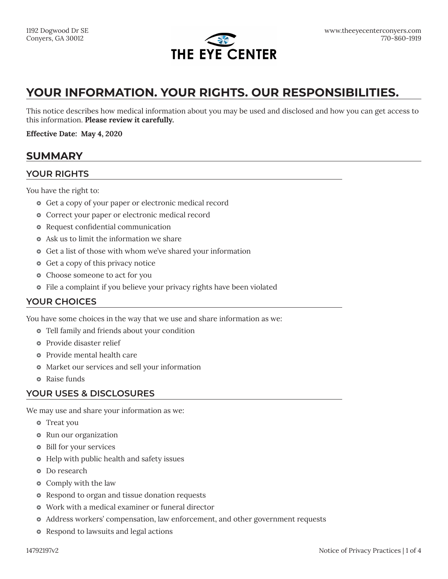

# **YOUR INFORMATION. YOUR RIGHTS. OUR RESPONSIBILITIES.**

This notice describes how medical information about you may be used and disclosed and how you can get access to this information. **Please review it carefully.**

**Effective Date: May 4, 2020**

### **SUMMARY**

### **YOUR RIGHTS**

You have the right to:

- Get a copy of your paper or electronic medical record
- Correct your paper or electronic medical record
- Request confidential communication
- Ask us to limit the information we share
- Get a list of those with whom we've shared your information
- Get a copy of this privacy notice
- Choose someone to act for you
- File a complaint if you believe your privacy rights have been violated

### **YOUR CHOICES**

You have some choices in the way that we use and share information as we:

- Tell family and friends about your condition
- Provide disaster relief
- Provide mental health care
- Market our services and sell your information
- **•** Raise funds

### **YOUR USES & DISCLOSURES**

We may use and share your information as we:

- **•** Treat you
- **•** Run our organization
- Bill for your services
- Help with public health and safety issues
- **•** Do research
- Comply with the law
- Respond to organ and tissue donation requests
- Work with a medical examiner or funeral director
- Address workers' compensation, law enforcement, and other government requests
- Respond to lawsuits and legal actions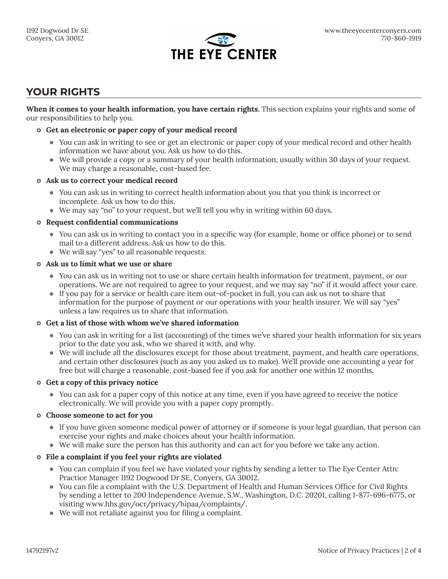

## **YOUR RIGHTS**

**When it comes to your health information, you have certain rights.** This section explains your rights and some of our responsibilities to help you.

#### } **Get an electronic or paper copy of your medical record**

- You can ask in writing to see or get an electronic or paper copy of your medical record and other health information we have about you. Ask us how to do this.
- We will provide a copy or a summary of your health information, usually within 30 days of your request. We may charge a reasonable, cost-based fee.

#### } **Ask us to correct your medical record**

- You can ask us in writing to correct health information about you that you think is incorrect or incomplete. Ask us how to do this.
- $\bullet$  We may say "no" to your request, but we'll tell you why in writing within 60 days.

#### } **Request confidential communications**

- You can ask us in writing to contact you in a specific way (for example, home or office phone) or to send mail to a different address. Ask us how to do this.
- We will say "yes" to all reasonable requests.

#### } **Ask us to limit what we use or share**

- You can ask us in writing not to use or share certain health information for treatment, payment, or our operations. We are not required to agree to your request, and we may say "no" if it would affect your care.
- If you pay for a service or health care item out-of-pocket in full, you can ask us not to share that information for the purpose of payment or our operations with your health insurer. We will say "yes" unless a law requires us to share that information.

#### } **Get a list of those with whom we've shared information**

- You can ask in writing for a list (accounting) of the times we've shared your health information for six years prior to the date you ask, who we shared it with, and why.
- $\bullet$  We will include all the disclosures except for those about treatment, payment, and health care operations, and certain other disclosures (such as any you asked us to make). We'll provide one accounting a year for free but will charge a reasonable, cost-based fee if you ask for another one within 12 months.

#### } **Get a copy of this privacy notice**

• You can ask for a paper copy of this notice at any time, even if you have agreed to receive the notice electronically. We will provide you with a paper copy promptly.

#### } **Choose someone to act for you**

- If you have given someone medical power of attorney or if someone is your legal guardian, that person can exercise your rights and make choices about your health information.
- $\bullet$  We will make sure the person has this authority and can act for you before we take any action.

#### } **File a complaint if you feel your rights are violated**

- You can complain if you feel we have violated your rights by sending a letter to The Eye Center Attn: Practice Manager 1192 Dogwood Dr SE, Conyers, GA 30012.
- You can file a complaint with the U.S. Department of Health and Human Services Office for Civil Rights by sending a letter to 200 Independence Avenue, S.W., Washington, D.C. 20201, calling 1-877-696-6775, or visiting www.hhs.gov/ocr/privacy/hipaa/complaints/.
- $\bullet$  We will not retaliate against you for filing a complaint.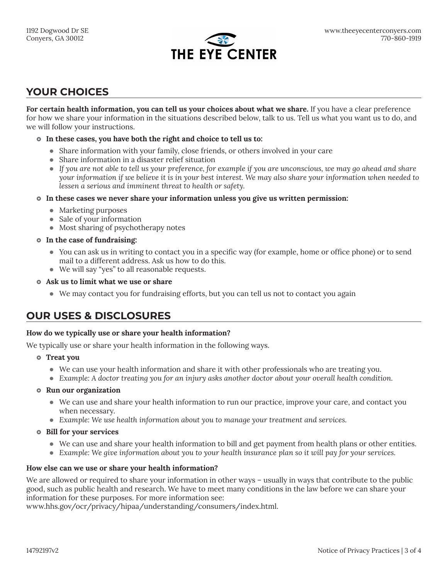

# **YOUR CHOICES**

**For certain health information, you can tell us your choices about what we share.** If you have a clear preference for how we share your information in the situations described below, talk to us. Tell us what you want us to do, and we will follow your instructions.

#### } **In these cases, you have both the right and choice to tell us to:**

- Share information with your family, close friends, or others involved in your care
- Share information in a disaster relief situation
- If you are not able to tell us your preference, for example if you are unconscious, we may go ahead and share *your information if we believe it is in your best interest. We may also share your information when needed to lessen a serious and imminent threat to health or safety.*
- } **In these cases we never share your information unless you give us written permission:**
	- Marketing purposes
	- Sale of your information
	- Most sharing of psychotherapy notes

#### } **In the case of fundraising:**

- You can ask us in writing to contact you in a specific way (for example, home or office phone) or to send mail to a different address. Ask us how to do this.
- We will say "yes" to all reasonable requests.
- } **Ask us to limit what we use or share**
	- We may contact you for fundraising efforts, but you can tell us not to contact you again

## **OUR USES & DISCLOSURES**

#### **How do we typically use or share your health information?**

We typically use or share your health information in the following ways.

- } **Treat you**
	- $\bullet$  We can use your health information and share it with other professionals who are treating you.
	- **Example:** A doctor treating you for an injury asks another doctor about your overall health condition.

#### $\circ$  Run our organization

- We can use and share your health information to run our practice, improve your care, and contact you when necessary.
- **Example:** We use health information about you to manage your treatment and services.

#### } **Bill for your services**

- We can use and share your health information to bill and get payment from health plans or other entities.
- **Example:** We give information about you to your health insurance plan so it will pay for your services.

#### **How else can we use or share your health information?**

We are allowed or required to share your information in other ways – usually in ways that contribute to the public good, such as public health and research. We have to meet many conditions in the law before we can share your information for these purposes. For more information see:

www.hhs.gov/ocr/privacy/hipaa/understanding/consumers/index.html.